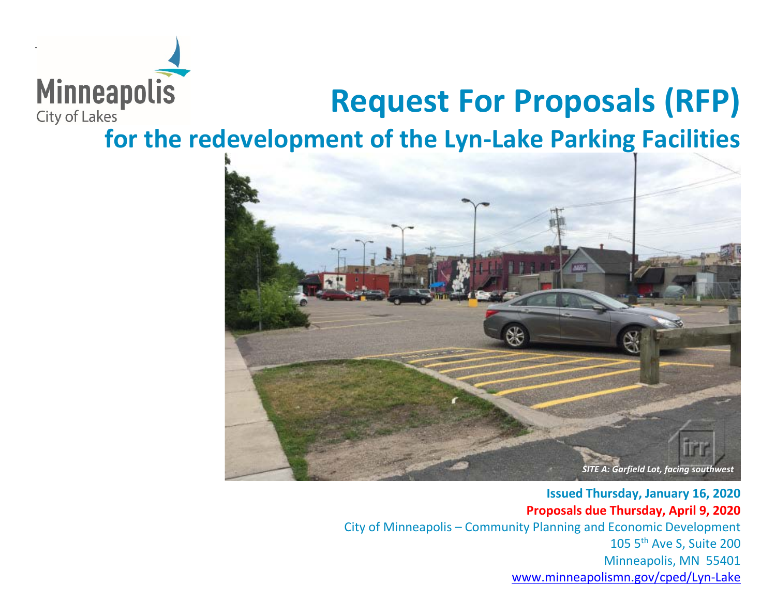

# **Request For Proposals (RFP)**

**for the redevelopment of the Lyn-Lake Parking Facilities** 



**Issued Thursday, January 16, 2020 Proposals due Thursday, April 9, 2020** City of Minneapolis – Community Planning and Economic Development 105 5th Ave S, Suite 200 Minneapolis, MN 55401 [www.minneapolismn.gov/cped/Lyn-Lake](http://www.minneapolismn.gov/cped/Lyn-Lake)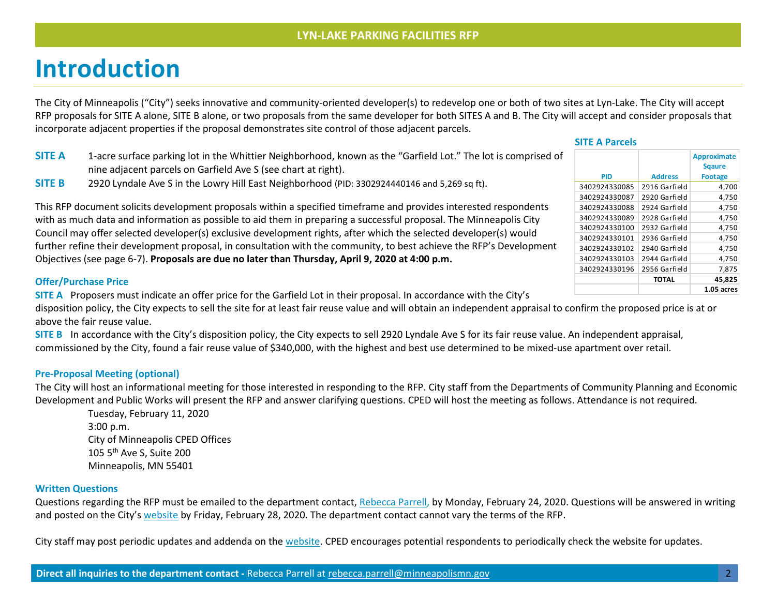### **Introduction**

The City of Minneapolis ("City") seeks innovative and community-oriented developer(s) to redevelop one or both of two sites at Lyn-Lake. The City will accept RFP proposals for SITE A alone, SITE B alone, or two proposals from the same developer for both SITES A and B. The City will accept and consider proposals that incorporate adjacent properties if the proposal demonstrates site control of those adjacent parcels.

- **SITE A** 1-acre surface parking lot in the Whittier Neighborhood, known as the "Garfield Lot." The lot is comprised of nine adjacent parcels on Garfield Ave S (see chart at right).
- **SITE B** 2920 Lyndale Ave S in the Lowry Hill East Neighborhood (PID: 3302924440146 and 5,269 sq ft).

|               |                | Approximate    |
|---------------|----------------|----------------|
|               |                | <b>Sgaure</b>  |
| <b>PID</b>    | <b>Address</b> | <b>Footage</b> |
| 3402924330085 | 2916 Garfield  | 4,700          |
| 3402924330087 | 2920 Garfield  | 4,750          |
| 3402924330088 | 2924 Garfield  | 4,750          |
| 3402924330089 | 2928 Garfield  | 4.750          |
| 3402924330100 | 2932 Garfield  | 4,750          |
| 3402924330101 | 2936 Garfield  | 4,750          |
| 3402924330102 | 2940 Garfield  | 4,750          |
| 3402924330103 | 2944 Garfield  | 4,750          |
| 3402924330196 | 2956 Garfield  | 7,875          |
|               | <b>TOTAL</b>   | 45.825         |
|               |                | 1.05 acres     |

**Approximate** 

 **SITE A Parcels**

This RFP document solicits development proposals within a specified timeframe and provides interested respondents with as much data and information as possible to aid them in preparing a successful proposal. The Minneapolis City Council may offer selected developer(s) exclusive development rights, after which the selected developer(s) would further refine their development proposal, in consultation with the community, to best achieve the RFP's Development Objectives (see page 6-7). **Proposals are due no later than Thursday, April 9, 2020 at 4:00 p.m.**

### **Offer/Purchase Price**

**SITE A** Proposers must indicate an offer price for the Garfield Lot in their proposal. In accordance with the City's

disposition policy, the City expects to sell the site for at least fair reuse value and will obtain an independent appraisal to confirm the proposed price is at or above the fair reuse value.

**SITE B** In accordance with the City's disposition policy, the City expects to sell 2920 Lyndale Ave S for its fair reuse value. An independent appraisal, commissioned by the City, found a fair reuse value of \$340,000, with the highest and best use determined to be mixed-use apartment over retail.

### **Pre-Proposal Meeting (optional)**

The City will host an informational meeting for those interested in responding to the RFP. City staff from the Departments of Community Planning and Economic Development and Public Works will present the RFP and answer clarifying questions. CPED will host the meeting as follows. Attendance is not required.

Tuesday, February 11, 2020 3:00 p.m. City of Minneapolis CPED Offices 105 5th Ave S, Suite 200 Minneapolis, MN 55401

### **Written Questions**

Questions regarding the RFP must be emailed to the department contact, [Rebecca Parrell,](mailto:rebecca.parrell@minneapolismn.gov) by Monday, February 24, 2020. Questions will be answered in writing and posted on the City'[s website](http://www.ci.minneapolis.mn.us/cped/cped_rfp) by Friday, February 28, 2020. The department contact cannot vary the terms of the RFP.

City staff may post periodic updates and addenda on the [website.](http://www.ci.minneapolis.mn.us/cped/cped_rfp) CPED encourages potential respondents to periodically check the website for updates.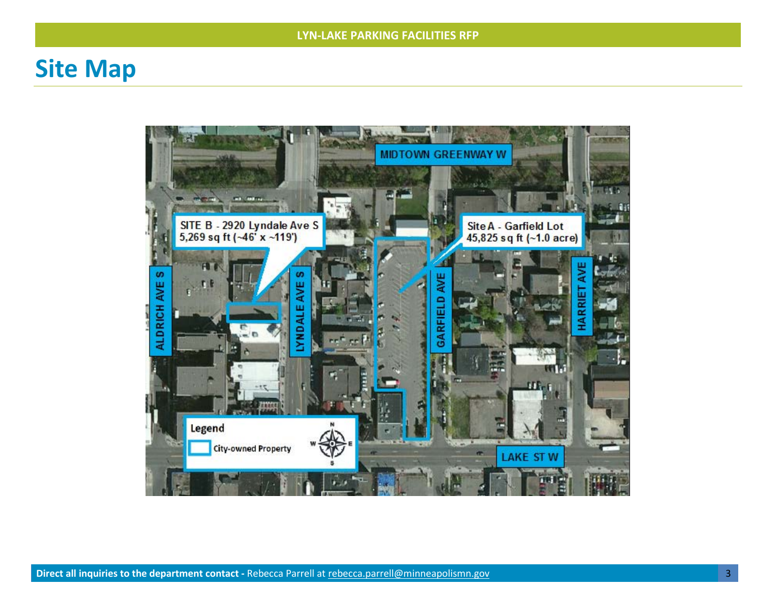### **Site Map**

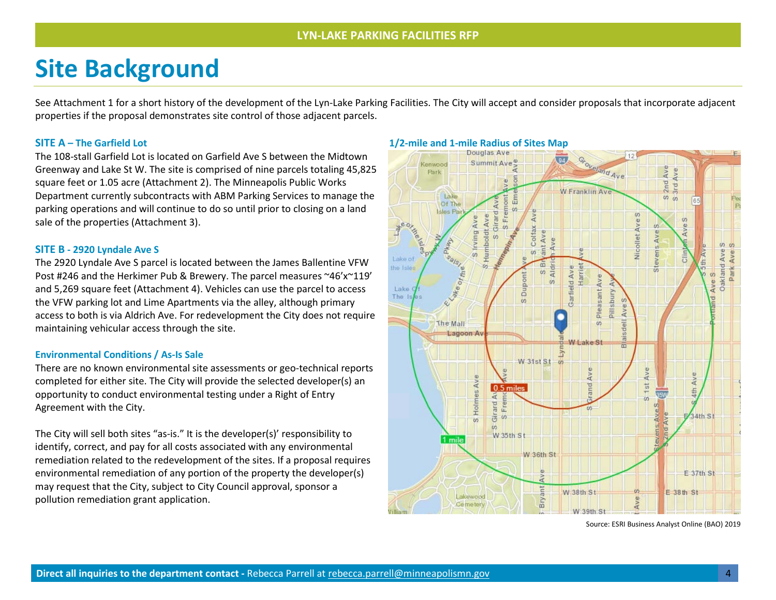## **Site Background**

See Attachment 1 for a short history of the development of the Lyn-Lake Parking Facilities. The City will accept and consider proposals that incorporate adjacent properties if the proposal demonstrates site control of those adjacent parcels.

The 108-stall Garfield Lot is located on Garfield Ave S between the Midtown Greenway and Lake St W. The site is comprised of nine parcels totaling 45,825 square feet or 1.05 acre (Attachment 2). The Minneapolis Public Works Department currently subcontracts with ABM Parking Services to manage the parking operations and will continue to do so until prior to closing on a land sale of the properties (Attachment 3).

#### **SITE B - 2920 Lyndale Ave S**

The 2920 Lyndale Ave S parcel is located between the James Ballentine VFW Post #246 and the Herkimer Pub & Brewery. The parcel measures ~46'x~119' and 5,269 square feet (Attachment 4). Vehicles can use the parcel to access the VFW parking lot and Lime Apartments via the alley, although primary access to both is via Aldrich Ave. For redevelopment the City does not require maintaining vehicular access through the site.

#### **Environmental Conditions / As-Is Sale**

There are no known environmental site assessments or geo-technical reports completed for either site. The City will provide the selected developer(s) an opportunity to conduct environmental testing under a Right of Entry Agreement with the City.

The City will sell both sites "as-is." It is the developer(s)' responsibility to identify, correct, and pay for all costs associated with any environmental remediation related to the redevelopment of the sites. If a proposal requires environmental remediation of any portion of the property the developer(s) may request that the City, subject to City Council approval, sponsor a pollution remediation grant application.



Source: ESRI Business Analyst Online (BAO) 2019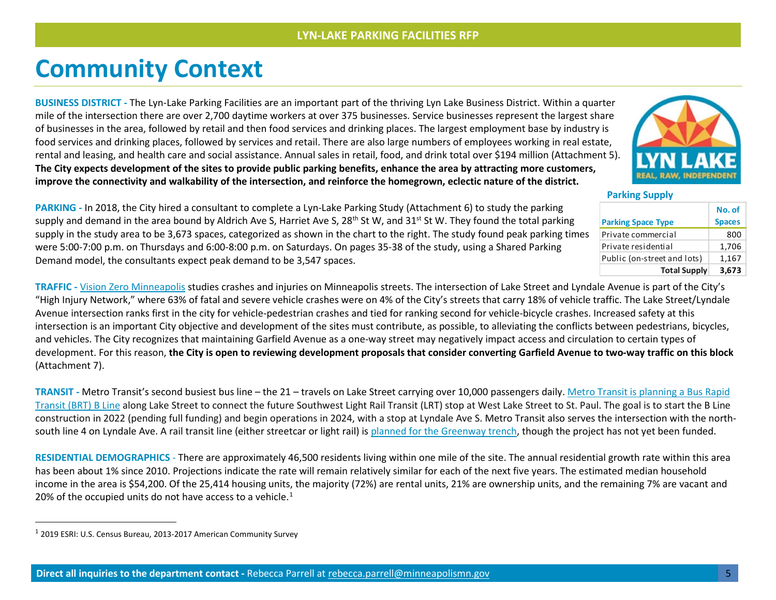### **Community Context**

**BUSINESS DISTRICT -** The Lyn-Lake Parking Facilities are an important part of the thriving Lyn Lake Business District. Within a quarter mile of the intersection there are over 2,700 daytime workers at over 375 businesses. Service businesses represent the largest share of businesses in the area, followed by retail and then food services and drinking places. The largest employment base by industry is food services and drinking places, followed by services and retail. There are also large numbers of employees working in real estate, rental and leasing, and health care and social assistance. Annual sales in retail, food, and drink total over \$194 million (Attachment 5). **The City expects development of the sites to provide public parking benefits, enhance the area by attracting more customers, improve the connectivity and walkability of the intersection, and reinforce the homegrown, eclectic nature of the district.**

<span id="page-4-0"></span>

 **Parking Supply**

|                             | No. of        |
|-----------------------------|---------------|
| <b>Parking Space Type</b>   | <b>Spaces</b> |
| Private commercial          | 800           |
| Private residential         | 1,706         |
| Public (on-street and lots) | 1,167         |
| <b>Total Supply</b>         | 3.673         |

**PARKING -** In 2018, the City hired a consultant to complete a Lyn-Lake Parking Study (Attachment 6) to study the parking supply and demand in the area bound by Aldrich Ave S, Harriet Ave S, 28<sup>th</sup> St W, and 31<sup>st</sup> St W. They found the total parking supply in the study area to be 3,673 spaces, categorized as shown in the chart to the right. The study found peak parking times were 5:00-7:00 p.m. on Thursdays and 6:00-8:00 p.m. on Saturdays. On pages 35-38 of the study, using a Shared Parking Demand model, the consultants expect peak demand to be 3,547 spaces.

**TRAFFIC -** [Vision Zero Minneapolis](https://www.visionzerompls.com/safety-data) studies crashes and injuries on Minneapolis streets. The intersection of Lake Street and Lyndale Avenue is part of the City's "High Injury Network," where 63% of fatal and severe vehicle crashes were on 4% of the City's streets that carry 18% of vehicle traffic. The Lake Street/Lyndale Avenue intersection ranks first in the city for vehicle-pedestrian crashes and tied for ranking second for vehicle-bicycle crashes. Increased safety at this intersection is an important City objective and development of the sites must contribute, as possible, to alleviating the conflicts between pedestrians, bicycles, and vehicles. The City recognizes that maintaining Garfield Avenue as a one-way street may negatively impact access and circulation to certain types of development. For this reason, **the City is open to reviewing development proposals that consider converting Garfield Avenue to two-way traffic on this block** (Attachment 7).

**TRANSIT -** Metro Transit's second busiest bus line – the 21 – travels on Lake Street carrying over 10,000 passengers daily. [Metro Transit is planning a Bus Rapid](https://www.metrotransit.org/b-line-project)  [Transit \(BRT\) B Line](https://www.metrotransit.org/b-line-project) along Lake Street to connect the future Southwest Light Rail Transit (LRT) stop at West Lake Street to St. Paul. The goal is to start the B Line construction in 2022 (pending full funding) and begin operations in 2024, with a stop at Lyndale Ave S. Metro Transit also serves the intersection with the northsouth line 4 on Lyndale Ave. A rail transit line (either streetcar or light rail) i[s planned for the Greenway trench,](https://www.metrotransit.org/Data/Sites/1/media/midtown-corridor/midtown-lpa-recommendation---final.pdf) though the project has not yet been funded.

**RESIDENTIAL DEMOGRAPHICS** - There are approximately 46,500 residents living within one mile of the site. The annual residential growth rate within this area has been about 1% since 2010. Projections indicate the rate will remain relatively similar for each of the next five years. The estimated median household income in the area is \$54,200. Of the 25,414 housing units, the majority (72%) are rental units, 21% are ownership units, and the remaining 7% are vacant and 20% of the occupied units do not have access to a vehicle.<sup>[1](#page-4-0)</sup>

 <sup>1</sup> 2019 ESRI: U.S. Census Bureau, 2013-2017 American Community Survey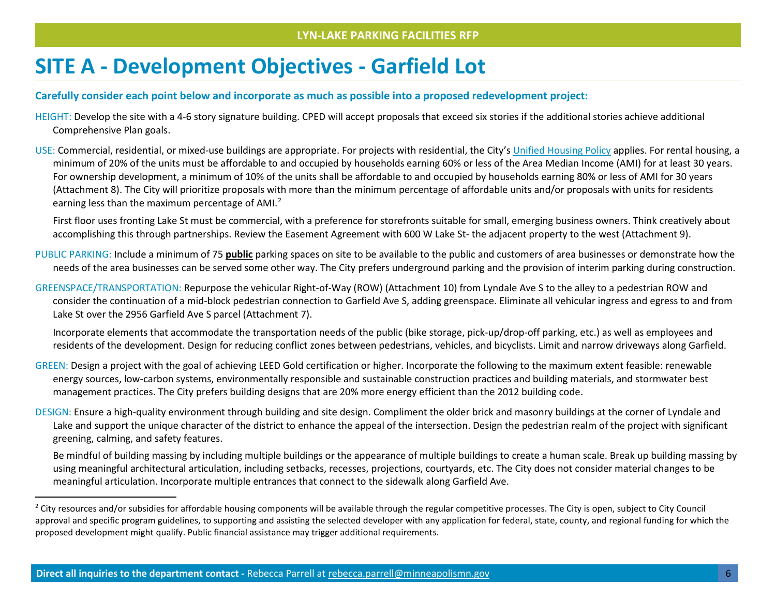### <span id="page-5-0"></span>**SITE A - Development Objectives - Garfield Lot**

### **Carefully consider each point below and incorporate as much as possible into a proposed redevelopment project:**

- HEIGHT: Develop the site with a 4-6 story signature building. CPED will accept proposals that exceed six stories if the additional stories achieve additional Comprehensive Plan goals.
- USE: Commercial, residential, or mixed-use buildings are appropriate. For projects with residential, the City'[s Unified Housing Policy](http://www.minneapolismn.gov/cped/housing/cped_affordable_housing_resolution) applies. For rental housing, a minimum of 20% of the units must be affordable to and occupied by households earning 60% or less of the Area Median Income (AMI) for at least 30 years. For ownership development, a minimum of 10% of the units shall be affordable to and occupied by households earning 80% or less of AMI for 30 years (Attachment 8). The City will prioritize proposals with more than the minimum percentage of affordable units and/or proposals with units for residents earning less than the maximum percentage of AMI.<sup>[2](#page-5-0)</sup>

First floor uses fronting Lake St must be commercial, with a preference for storefronts suitable for small, emerging business owners. Think creatively about accomplishing this through partnerships. Review the Easement Agreement with 600 W Lake St- the adjacent property to the west (Attachment 9).

- PUBLIC PARKING: Include a minimum of 75 **public** parking spaces on site to be available to the public and customers of area businesses or demonstrate how the needs of the area businesses can be served some other way. The City prefers underground parking and the provision of interim parking during construction.
- GREENSPACE/TRANSPORTATION: Repurpose the vehicular Right-of-Way (ROW) (Attachment 10) from Lyndale Ave S to the alley to a pedestrian ROW and consider the continuation of a mid-block pedestrian connection to Garfield Ave S, adding greenspace. Eliminate all vehicular ingress and egress to and from Lake St over the 2956 Garfield Ave S parcel (Attachment 7).

Incorporate elements that accommodate the transportation needs of the public (bike storage, pick-up/drop-off parking, etc.) as well as employees and residents of the development. Design for reducing conflict zones between pedestrians, vehicles, and bicyclists. Limit and narrow driveways along Garfield.

- GREEN: Design a project with the goal of achieving LEED Gold certification or higher. Incorporate the following to the maximum extent feasible: renewable energy sources, low-carbon systems, environmentally responsible and sustainable construction practices and building materials, and stormwater best management practices. The City prefers building designs that are 20% more energy efficient than the 2012 building code.
- DESIGN: Ensure a high-quality environment through building and site design. Compliment the older brick and masonry buildings at the corner of Lyndale and Lake and support the unique character of the district to enhance the appeal of the intersection. Design the pedestrian realm of the project with significant greening, calming, and safety features.

Be mindful of building massing by including multiple buildings or the appearance of multiple buildings to create a human scale. Break up building massing by using meaningful architectural articulation, including setbacks, recesses, projections, courtyards, etc. The City does not consider material changes to be meaningful articulation. Incorporate multiple entrances that connect to the sidewalk along Garfield Ave.

<sup>&</sup>lt;sup>2</sup> City resources and/or subsidies for affordable housing components will be available through the regular competitive processes. The City is open, subject to City Council approval and specific program guidelines, to supporting and assisting the selected developer with any application for federal, state, county, and regional funding for which the proposed development might qualify. Public financial assistance may trigger additional requirements.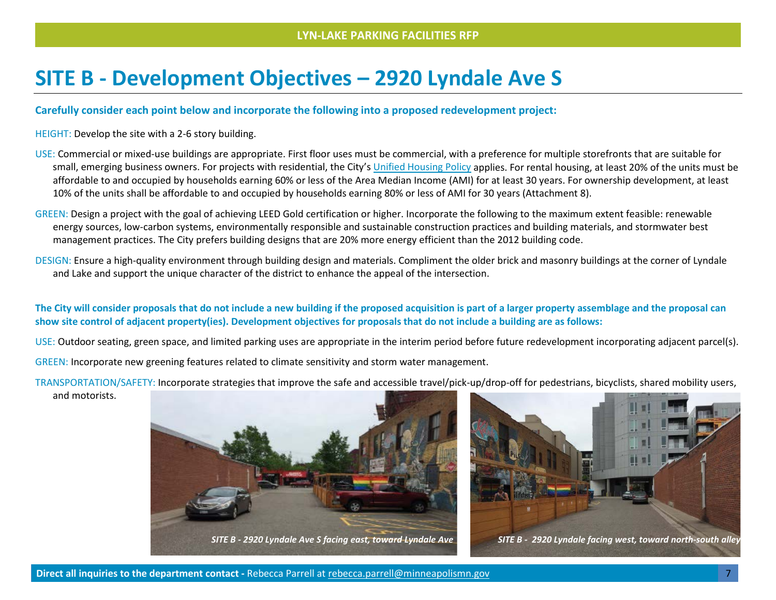### **SITE B - Development Objectives – 2920 Lyndale Ave S**

### **Carefully consider each point below and incorporate the following into a proposed redevelopment project:**

HEIGHT: Develop the site with a 2-6 story building.

- USE: Commercial or mixed-use buildings are appropriate. First floor uses must be commercial, with a preference for multiple storefronts that are suitable for small, emerging business owners. For projects with residential, the City's [Unified Housing Policy](http://www.minneapolismn.gov/cped/housing/cped_affordable_housing_resolution) applies. For rental housing, at least 20% of the units must be affordable to and occupied by households earning 60% or less of the Area Median Income (AMI) for at least 30 years. For ownership development, at least 10% of the units shall be affordable to and occupied by households earning 80% or less of AMI for 30 years (Attachment 8).
- GREEN: Design a project with the goal of achieving LEED Gold certification or higher. Incorporate the following to the maximum extent feasible: renewable energy sources, low-carbon systems, environmentally responsible and sustainable construction practices and building materials, and stormwater best management practices. The City prefers building designs that are 20% more energy efficient than the 2012 building code.
- DESIGN: Ensure a high-quality environment through building design and materials. Compliment the older brick and masonry buildings at the corner of Lyndale and Lake and support the unique character of the district to enhance the appeal of the intersection.

### **The City will consider proposals that do not include a new building if the proposed acquisition is part of a larger property assemblage and the proposal can show site control of adjacent property(ies). Development objectives for proposals that do not include a building are as follows:**

USE: Outdoor seating, green space, and limited parking uses are appropriate in the interim period before future redevelopment incorporating adjacent parcel(s).

GREEN: Incorporate new greening features related to climate sensitivity and storm water management.

TRANSPORTATION/SAFETY: Incorporate strategies that improve the safe and accessible travel/pick-up/drop-off for pedestrians, bicyclists, shared mobility users,

and motorists.



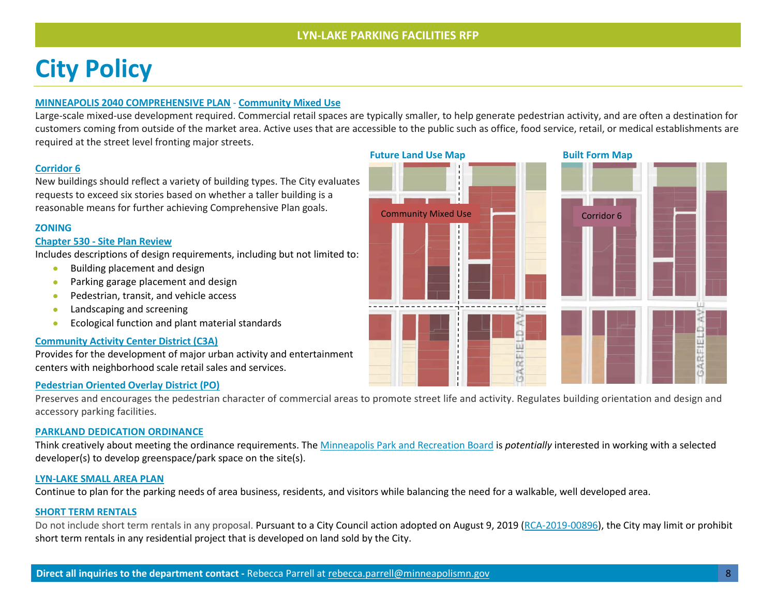## **City Policy**

### **[MINNEAPOLIS 2040 COMPREHENSIVE PLAN](https://minneapolis2040.com/)** - **[Community Mixed Use](https://minneapolis2040.com/topics/land-use-built-form/#1217-anchor)**

Large-scale mixed-use development required. Commercial retail spaces are typically smaller, to help generate pedestrian activity, and are often a destination for customers coming from outside of the market area. Active uses that are accessible to the public such as office, food service, retail, or medical establishments are required at the street level fronting major streets.

### **[Corridor 6](https://minneapolis2040.com/topics/land-use-built-form/#1217-anchor)**

New buildings should reflect a variety of building types. The City evaluates requests to exceed six stories based on whether a taller building is a reasonable means for further achieving Comprehensive Plan goals.

### **ZONING**

### **Chapter 530 - [Site Plan Review](https://library.municode.com/mn/minneapolis/codes/code_of_ordinances?nodeId=MICOOR_TIT20ZOCO_CH530SIPLRE)**

Includes descriptions of design requirements, including but not limited to:

- Building placement and design
- Parking garage placement and design
- Pedestrian, transit, and vehicle access
- Landscaping and screening
- Ecological function and plant material standards

#### **[Community Activity Center District \(C3A\)](https://library.municode.com/mn/minneapolis/codes/code_of_ordinances?nodeId=MICOOR_TIT20ZOCO_CH548CODI_ARTIVC3COACCEDI)**

Provides for the development of major urban activity and entertainment centers with neighborhood scale retail sales and services.

### **[Pedestrian Oriented Overlay District \(PO\)](https://library.municode.com/mn/minneapolis/codes/code_of_ordinances?nodeId=MICOOR_TIT20ZOCO_CH551OVDI_ARTIIPOPEOROVDI)**

Preserves and encourages the pedestrian character of commercial areas to promote street life and activity. Regulates building orientation and design and accessory parking facilities.

#### **[PARKLAND DEDICATION ORDINANCE](https://library.municode.com/mn/minneapolis/codes/code_of_ordinances?nodeId=MICOOR_TIT22LASU_CH598LASURE_ARTVPADE)**

Think creatively about meeting the ordinance requirements. The [Minneapolis Park and Recreation Board](https://www.minneapolisparks.org/park_care__improvements/park_dedication/) is *potentially* interested in working with a selected developer(s) to develop greenspace/park space on the site(s).

#### **[LYN-LAKE SMALL AREA PLAN](http://www.ci.minneapolis.mn.us/cped/projects/cped_lyn-lake)**

Continue to plan for the parking needs of area business, residents, and visitors while balancing the need for a walkable, well developed area.

#### **[SHORT TERM RENTALS](http://lims.minneapolismn.gov/File/2019-00896)**

Do not include short term rentals in any proposal. Pursuant to a City Council action adopted on August 9, 2019 [\(RCA-2019-00896\)](https://lims.minneapolismn.gov/File/2019-00896), the City may limit or prohibit short term rentals in any residential project that is developed on land sold by the City.

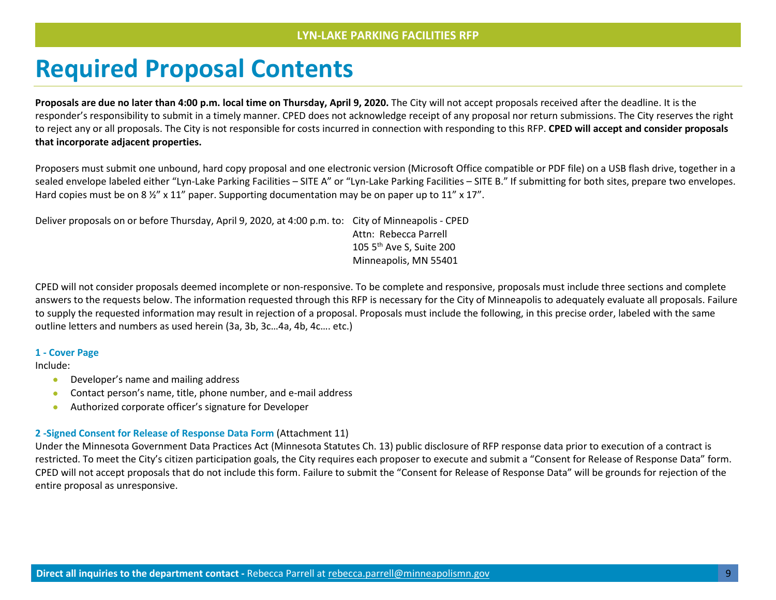### **Required Proposal Contents**

**Proposals are due no later than 4:00 p.m. local time on Thursday, April 9, 2020.** The City will not accept proposals received after the deadline. It is the responder's responsibility to submit in a timely manner. CPED does not acknowledge receipt of any proposal nor return submissions. The City reserves the right to reject any or all proposals. The City is not responsible for costs incurred in connection with responding to this RFP. **CPED will accept and consider proposals that incorporate adjacent properties.**

Proposers must submit one unbound, hard copy proposal and one electronic version (Microsoft Office compatible or PDF file) on a USB flash drive, together in a sealed envelope labeled either "Lyn-Lake Parking Facilities – SITE A" or "Lyn-Lake Parking Facilities – SITE B." If submitting for both sites, prepare two envelopes. Hard copies must be on 8  $\frac{1}{2}$ " x 11" paper. Supporting documentation may be on paper up to 11" x 17".

Deliver proposals on or before Thursday, April 9, 2020, at 4:00 p.m. to: City of Minneapolis - CPED Attn: Rebecca Parrell 105 5<sup>th</sup> Ave S, Suite 200 Minneapolis, MN 55401

CPED will not consider proposals deemed incomplete or non-responsive. To be complete and responsive, proposals must include three sections and complete answers to the requests below. The information requested through this RFP is necessary for the City of Minneapolis to adequately evaluate all proposals. Failure to supply the requested information may result in rejection of a proposal. Proposals must include the following, in this precise order, labeled with the same outline letters and numbers as used herein (3a, 3b, 3c…4a, 4b, 4c…. etc.)

#### **1 - Cover Page**

Include:

- Developer's name and mailing address
- Contact person's name, title, phone number, and e-mail address
- Authorized corporate officer's signature for Developer

#### **2 -Signed Consent for Release of Response Data Form** (Attachment 11)

Under the Minnesota Government Data Practices Act (Minnesota Statutes Ch. 13) public disclosure of RFP response data prior to execution of a contract is restricted. To meet the City's citizen participation goals, the City requires each proposer to execute and submit a "Consent for Release of Response Data" form. CPED will not accept proposals that do not include this form. Failure to submit the "Consent for Release of Response Data" will be grounds for rejection of the entire proposal as unresponsive.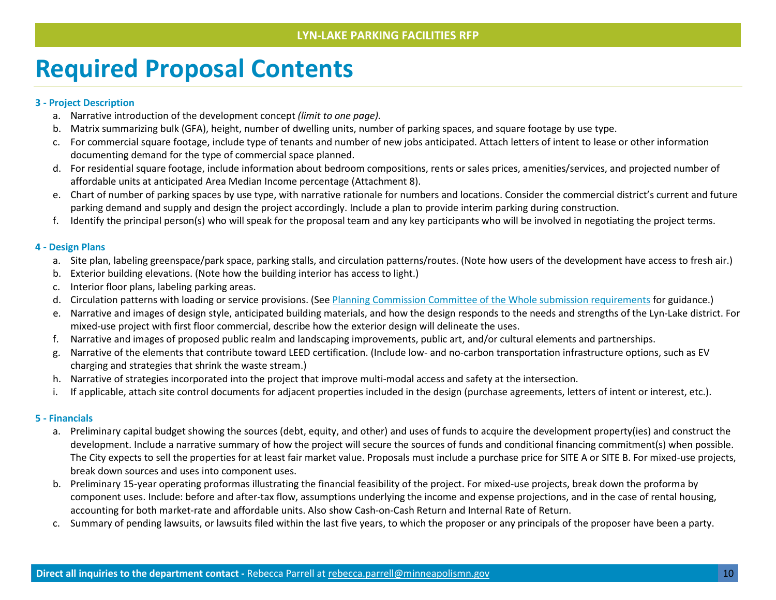## **Required Proposal Contents**

### **3 - Project Description**

- a. Narrative introduction of the development concept *(limit to one page).*
- b. Matrix summarizing bulk (GFA), height, number of dwelling units, number of parking spaces, and square footage by use type.
- c. For commercial square footage, include type of tenants and number of new jobs anticipated. Attach letters of intent to lease or other information documenting demand for the type of commercial space planned.
- d. For residential square footage, include information about bedroom compositions, rents or sales prices, amenities/services, and projected number of affordable units at anticipated Area Median Income percentage (Attachment 8).
- e. Chart of number of parking spaces by use type, with narrative rationale for numbers and locations. Consider the commercial district's current and future parking demand and supply and design the project accordingly. Include a plan to provide interim parking during construction.
- f. Identify the principal person(s) who will speak for the proposal team and any key participants who will be involved in negotiating the project terms.

### **4 - Design Plans**

- a. Site plan, labeling greenspace/park space, parking stalls, and circulation patterns/routes. (Note how users of the development have access to fresh air.)
- b. Exterior building elevations. (Note how the building interior has access to light.)
- c. Interior floor plans, labeling parking areas.
- d. Circulation patterns with loading or service provisions. (See [Planning Commission Committee of the Whole submission requirements](http://www.ci.minneapolis.mn.us/www/groups/public/@cped/documents/webcontent/wcmsp-211853.pdf) for guidance.)
- e. Narrative and images of design style, anticipated building materials, and how the design responds to the needs and strengths of the Lyn-Lake district. For mixed-use project with first floor commercial, describe how the exterior design will delineate the uses.
- f. Narrative and images of proposed public realm and landscaping improvements, public art, and/or cultural elements and partnerships.
- g. Narrative of the elements that contribute toward LEED certification. (Include low- and no-carbon transportation infrastructure options, such as EV charging and strategies that shrink the waste stream.)
- h. Narrative of strategies incorporated into the project that improve multi-modal access and safety at the intersection.
- i. If applicable, attach site control documents for adjacent properties included in the design (purchase agreements, letters of intent or interest, etc.).

### **5 - Financials**

- a. Preliminary capital budget showing the sources (debt, equity, and other) and uses of funds to acquire the development property(ies) and construct the development. Include a narrative summary of how the project will secure the sources of funds and conditional financing commitment(s) when possible. The City expects to sell the properties for at least fair market value. Proposals must include a purchase price for SITE A or SITE B. For mixed-use projects, break down sources and uses into component uses.
- b. Preliminary 15-year operating proformas illustrating the financial feasibility of the project. For mixed-use projects, break down the proforma by component uses. Include: before and after-tax flow, assumptions underlying the income and expense projections, and in the case of rental housing, accounting for both market-rate and affordable units. Also show Cash-on-Cash Return and Internal Rate of Return.
- c. Summary of pending lawsuits, or lawsuits filed within the last five years, to which the proposer or any principals of the proposer have been a party.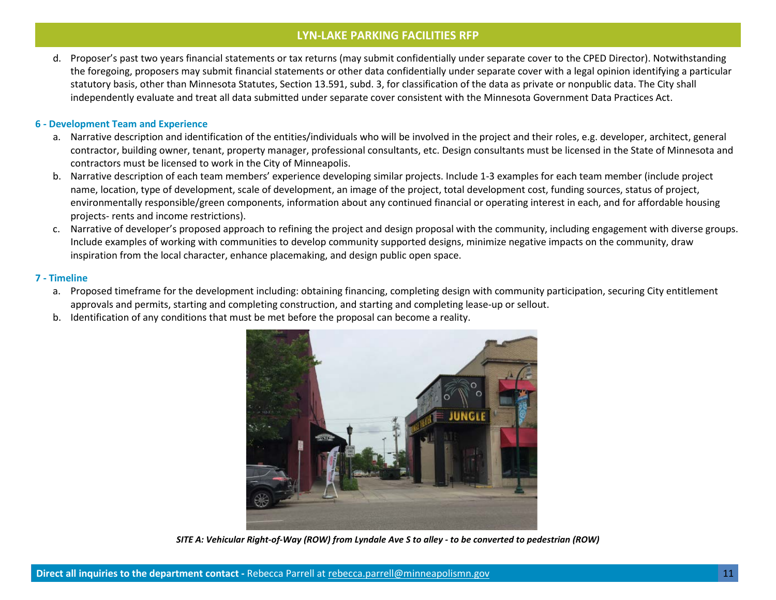d. Proposer's past two years financial statements or tax returns (may submit confidentially under separate cover to the CPED Director). Notwithstanding the foregoing, proposers may submit financial statements or other data confidentially under separate cover with a legal opinion identifying a particular statutory basis, other than Minnesota Statutes, Section 13.591, subd. 3, for classification of the data as private or nonpublic data. The City shall independently evaluate and treat all data submitted under separate cover consistent with the Minnesota Government Data Practices Act.

### **6 - Development Team and Experience**

- a. Narrative description and identification of the entities/individuals who will be involved in the project and their roles, e.g. developer, architect, general contractor, building owner, tenant, property manager, professional consultants, etc. Design consultants must be licensed in the State of Minnesota and contractors must be licensed to work in the City of Minneapolis.
- b. Narrative description of each team members' experience developing similar projects. Include 1-3 examples for each team member (include project name, location, type of development, scale of development, an image of the project, total development cost, funding sources, status of project, environmentally responsible/green components, information about any continued financial or operating interest in each, and for affordable housing projects- rents and income restrictions).
- c. Narrative of developer's proposed approach to refining the project and design proposal with the community, including engagement with diverse groups. Include examples of working with communities to develop community supported designs, minimize negative impacts on the community, draw inspiration from the local character, enhance placemaking, and design public open space.

### **7 - Timeline**

- a. Proposed timeframe for the development including: obtaining financing, completing design with community participation, securing City entitlement approvals and permits, starting and completing construction, and starting and completing lease-up or sellout.
- b. Identification of any conditions that must be met before the proposal can become a reality.



*SITE A: Vehicular Right-of-Way (ROW) from Lyndale Ave S to alley - to be converted to pedestrian (ROW)*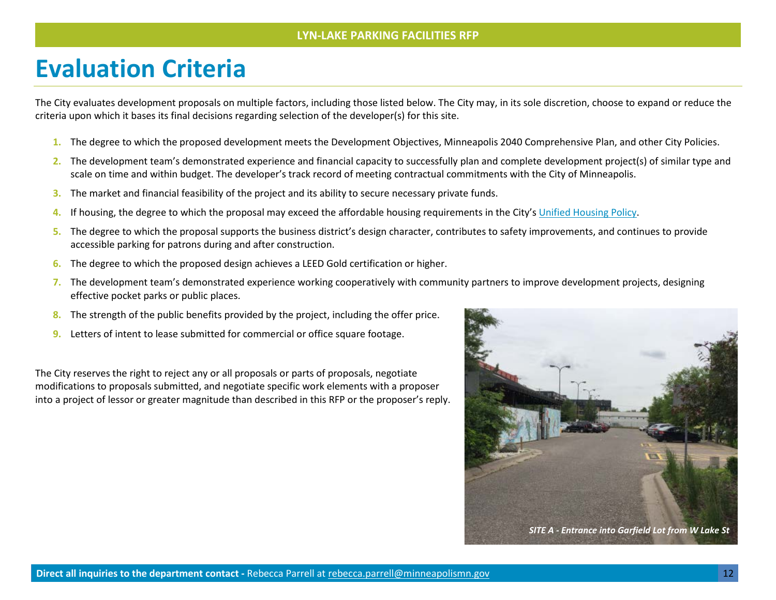### **Evaluation Criteria**

The City evaluates development proposals on multiple factors, including those listed below. The City may, in its sole discretion, choose to expand or reduce the criteria upon which it bases its final decisions regarding selection of the developer(s) for this site.

- **1.** The degree to which the proposed development meets the Development Objectives, Minneapolis 2040 Comprehensive Plan, and other City Policies.
- **2.** The development team's demonstrated experience and financial capacity to successfully plan and complete development project(s) of similar type and scale on time and within budget. The developer's track record of meeting contractual commitments with the City of Minneapolis.
- **3.** The market and financial feasibility of the project and its ability to secure necessary private funds.
- **4.** If housing, the degree to which the proposal may exceed the affordable housing requirements in the City's [Unified Housing Policy.](http://www.minneapolismn.gov/cped/housing/cped_affordable_housing_resolution)
- **5.** The degree to which the proposal supports the business district's design character, contributes to safety improvements, and continues to provide accessible parking for patrons during and after construction.
- **6.** The degree to which the proposed design achieves a LEED Gold certification or higher.
- **7.** The development team's demonstrated experience working cooperatively with community partners to improve development projects, designing effective pocket parks or public places.
- **8.** The strength of the public benefits provided by the project, including the offer price.
- **9.** Letters of intent to lease submitted for commercial or office square footage.

The City reserves the right to reject any or all proposals or parts of proposals, negotiate modifications to proposals submitted, and negotiate specific work elements with a proposer into a project of lessor or greater magnitude than described in this RFP or the proposer's reply.

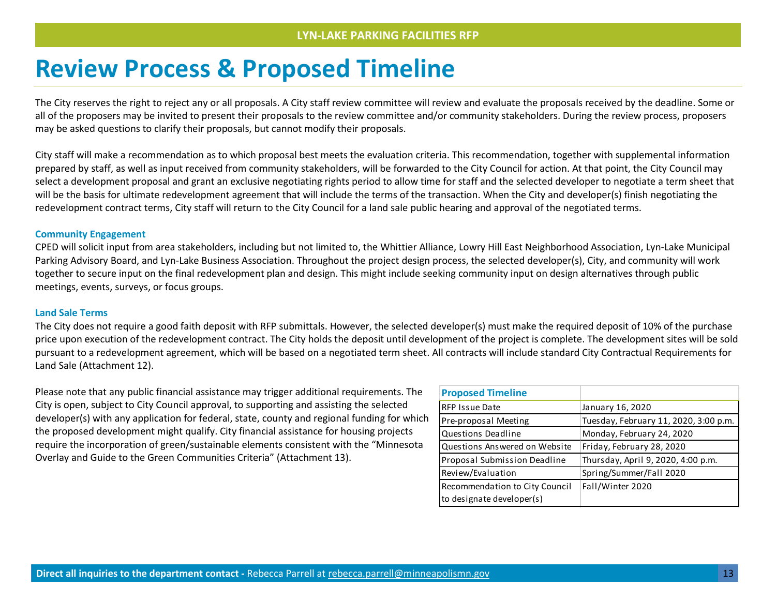## **Review Process & Proposed Timeline**

The City reserves the right to reject any or all proposals. A City staff review committee will review and evaluate the proposals received by the deadline. Some or all of the proposers may be invited to present their proposals to the review committee and/or community stakeholders. During the review process, proposers may be asked questions to clarify their proposals, but cannot modify their proposals.

City staff will make a recommendation as to which proposal best meets the evaluation criteria. This recommendation, together with supplemental information prepared by staff, as well as input received from community stakeholders, will be forwarded to the City Council for action. At that point, the City Council may select a development proposal and grant an exclusive negotiating rights period to allow time for staff and the selected developer to negotiate a term sheet that will be the basis for ultimate redevelopment agreement that will include the terms of the transaction. When the City and developer(s) finish negotiating the redevelopment contract terms, City staff will return to the City Council for a land sale public hearing and approval of the negotiated terms.

### **Community Engagement**

CPED will solicit input from area stakeholders, including but not limited to, the Whittier Alliance, Lowry Hill East Neighborhood Association, Lyn-Lake Municipal Parking Advisory Board, and Lyn-Lake Business Association. Throughout the project design process, the selected developer(s), City, and community will work together to secure input on the final redevelopment plan and design. This might include seeking community input on design alternatives through public meetings, events, surveys, or focus groups.

#### **Land Sale Terms**

The City does not require a good faith deposit with RFP submittals. However, the selected developer(s) must make the required deposit of 10% of the purchase price upon execution of the redevelopment contract. The City holds the deposit until development of the project is complete. The development sites will be sold pursuant to a redevelopment agreement, which will be based on a negotiated term sheet. All contracts will include standard City Contractual Requirements for Land Sale (Attachment 12).

Please note that any public financial assistance may trigger additional requirements. The City is open, subject to City Council approval, to supporting and assisting the selected developer(s) with any application for federal, state, county and regional funding for which the proposed development might qualify. City financial assistance for housing projects require the incorporation of green/sustainable elements consistent with the "Minnesota Overlay and Guide to the Green Communities Criteria" (Attachment 13).

| <b>Proposed Timeline</b>       |                                       |
|--------------------------------|---------------------------------------|
| <b>RFP Issue Date</b>          | January 16, 2020                      |
| Pre-proposal Meeting           | Tuesday, February 11, 2020, 3:00 p.m. |
| Questions Deadline             | Monday, February 24, 2020             |
| Questions Answered on Website  | Friday, February 28, 2020             |
| Proposal Submission Deadline   | Thursday, April 9, 2020, 4:00 p.m.    |
| Review/Evaluation              | Spring/Summer/Fall 2020               |
| Recommendation to City Council | Fall/Winter 2020                      |
| to designate developer(s)      |                                       |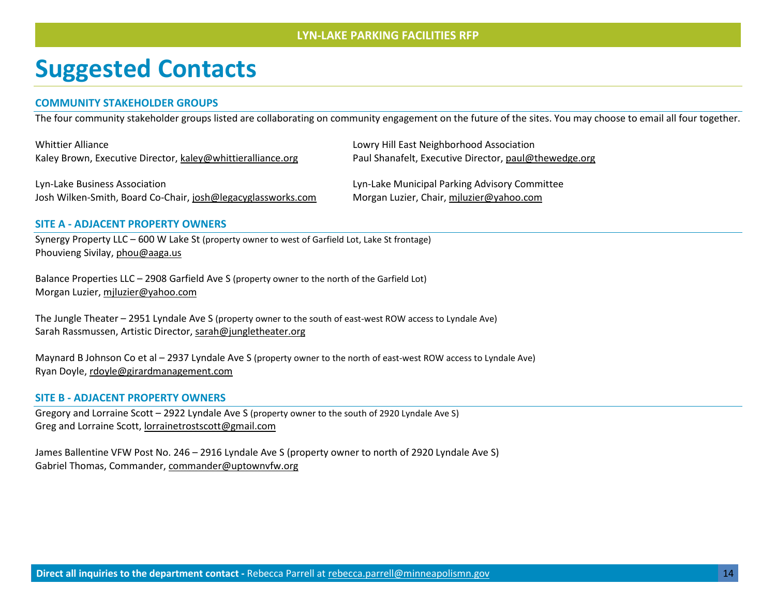### **Suggested Contacts**

### **COMMUNITY STAKEHOLDER GROUPS**

The four community stakeholder groups listed are collaborating on community engagement on the future of the sites. You may choose to email all four together.

| <b>Whittier Alliance</b>                                                                      | Lowry Hill East Neighborhood Association                                                  |
|-----------------------------------------------------------------------------------------------|-------------------------------------------------------------------------------------------|
| Kaley Brown, Executive Director, kaley@whittieralliance.org                                   | Paul Shanafelt, Executive Director, paul@thewedge.org                                     |
| Lyn-Lake Business Association<br>Josh Wilken-Smith, Board Co-Chair, josh@legacyglassworks.com | Lyn-Lake Municipal Parking Advisory Committee<br>Morgan Luzier, Chair, miluzier@yahoo.com |
|                                                                                               |                                                                                           |

### **SITE A - ADJACENT PROPERTY OWNERS**

Synergy Property LLC – 600 W Lake St (property owner to west of Garfield Lot, Lake St frontage) Phouvieng Sivilay[, phou@aaga.us](mailto:phou@aaga.us)

Balance Properties LLC – 2908 Garfield Ave S (property owner to the north of the Garfield Lot) Morgan Luzier, [mjluzier@yahoo.com](mailto:mjluzier@yahoo.com)

The Jungle Theater – 2951 Lyndale Ave S (property owner to the south of east-west ROW access to Lyndale Ave) Sarah Rassmussen, Artistic Director, [sarah@jungletheater.org](mailto:sarah@jungletheater.org)

Maynard B Johnson Co et al – 2937 Lyndale Ave S (property owner to the north of east-west ROW access to Lyndale Ave) Ryan Doyle, [rdoyle@girardmanagement.com](mailto:rdoyle@girardmanagement.com)

#### **SITE B - ADJACENT PROPERTY OWNERS**

Gregory and Lorraine Scott – 2922 Lyndale Ave S (property owner to the south of 2920 Lyndale Ave S) Greg and Lorraine Scott, lorrainetrostscott@gmail.com

James Ballentine VFW Post No. 246 – 2916 Lyndale Ave S (property owner to north of 2920 Lyndale Ave S) Gabriel Thomas, Commander, [commander@uptownvfw.org](mailto:commander@uptownvfw.org)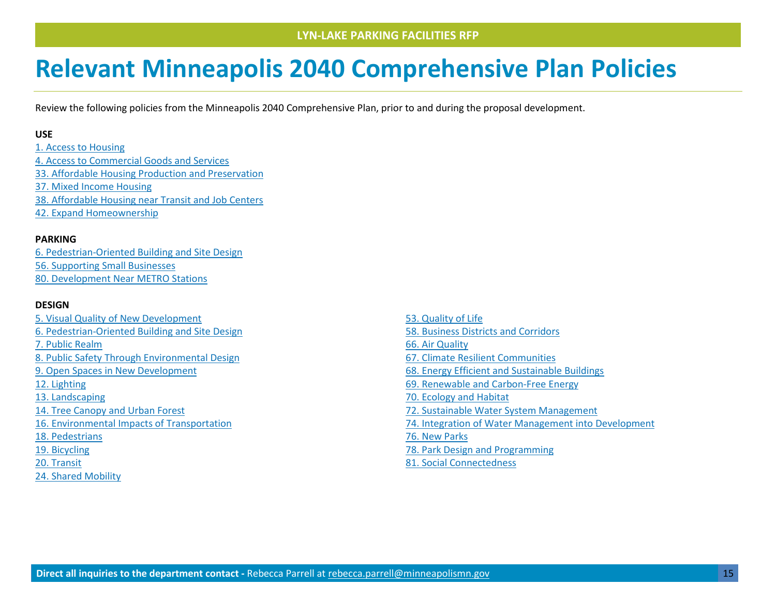## **Relevant Minneapolis 2040 Comprehensive Plan Policies**

Review the following policies from the Minneapolis 2040 Comprehensive Plan, prior to and during the proposal development.

### **USE**

[1. Access to Housing](https://minneapolis2040.com/policies/access-to-housing/) [4. Access to Commercial Goods and Services](https://minneapolis2040.com/policies/access-to-commercial-goods-and-services/) [33. Affordable Housing Production and Preservation](https://minneapolis2040.com/policies/affordable-housing-production-and-preservation/) [37. Mixed Income Housing](https://minneapolis2040.com/policies/mixed-income-housing/) [38. Affordable Housing near Transit and Job Centers](https://minneapolis2040.com/policies/affordable-housing-near-transit-and-job-centers/) [42. Expand Homeownership](https://minneapolis2040.com/policies/expand-homeownership/)

### **PARKING**

[6. Pedestrian-Oriented Building and Site Design](https://minneapolis2040.com/policies/pedestrian-oriented-building-and-site-design/) [56. Supporting Small Businesses](https://minneapolis2040.com/policies/supporting-small-businesses/) [80. Development Near METRO Stations](https://minneapolis2040.com/policies/development-near-metro-stations/)

### **DESIGN**

- [5. Visual Quality of New Development](https://minneapolis2040.com/policies/visual-quality-of-new-development/) [6. Pedestrian-Oriented Building and Site Design](https://minneapolis2040.com/policies/pedestrian-oriented-building-and-site-design/) [7. Public Realm](https://minneapolis2040.com/policies/public-realm/) [8. Public Safety Through Environmental Design](https://minneapolis2040.com/policies/public-safety-through-environmental-design/) [9. Open Spaces in New Development](https://minneapolis2040.com/policies/open-spaces-in-new-development/) [12. Lighting](https://minneapolis2040.com/policies/lighting/) [13. Landscaping](https://minneapolis2040.com/policies/landscaping/) [14. Tree Canopy and Urban Forest](https://minneapolis2040.com/policies/tree-canopy-and-urban-forest/) [16. Environmental Impacts of Transportation](https://minneapolis2040.com/policies/environmental-impacts-of-transportation/) [18. Pedestrians](https://minneapolis2040.com/policies/pedestrians/) [19. Bicycling](https://minneapolis2040.com/policies/bicycling/) 20. Transit [24. Shared Mobility](https://minneapolis2040.com/policies/shared-mobility/)
- [53. Quality of Life](https://minneapolis2040.com/policies/quality-of-life/) [58. Business Districts and Corridors](https://minneapolis2040.com/policies/business-districts-and-corridors/) [66. Air Quality](https://minneapolis2040.com/policies/air-quality/) [67. Climate Resilient Communities](https://minneapolis2040.com/policies/climate-resilient-communities/) [68. Energy Efficient and Sustainable Buildings](https://minneapolis2040.com/policies/energy-efficient-and-sustainable-buildings/) [69. Renewable and Carbon-Free Energy](https://minneapolis2040.com/policies/renewable-and-carbon-free-energy/) [70. Ecology and Habitat](https://minneapolis2040.com/policies/ecology-and-habitat/) [72. Sustainable Water System Management](https://minneapolis2040.com/policies/sustainable-water-system-management/) [74. Integration of Water Management into Development](https://minneapolis2040.com/policies/integration-of-water-management-into-development/) [76. New Parks](https://minneapolis2040.com/policies/new-parks/) [78. Park Design and Programming](https://minneapolis2040.com/policies/park-design-and-programming/) [81. Social Connectedness](https://minneapolis2040.com/policies/social-connectedness/)